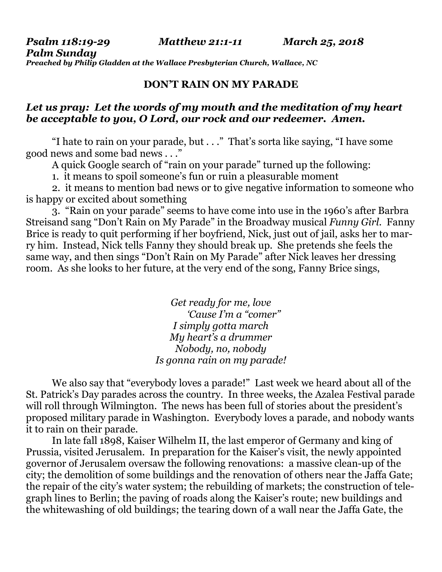*Psalm 118:19-29 Matthew 21:1-11 March 25, 2018 Palm Sunday Preached by Philip Gladden at the Wallace Presbyterian Church, Wallace, NC* 

# **DON'T RAIN ON MY PARADE**

# *Let us pray: Let the words of my mouth and the meditation of my heart be acceptable to you, O Lord, our rock and our redeemer. Amen.*

"I hate to rain on your parade, but . . ." That's sorta like saying, "I have some good news and some bad news . . ."

A quick Google search of "rain on your parade" turned up the following:

1. it means to spoil someone's fun or ruin a pleasurable moment

2. it means to mention bad news or to give negative information to someone who is happy or excited about something

3. "Rain on your parade" seems to have come into use in the 1960's after Barbra Streisand sang "Don't Rain on My Parade" in the Broadway musical *Funny Girl*. Fanny Brice is ready to quit performing if her boyfriend, Nick, just out of jail, asks her to marry him. Instead, Nick tells Fanny they should break up. She pretends she feels the same way, and then sings "Don't Rain on My Parade" after Nick leaves her dressing room. As she looks to her future, at the very end of the song, Fanny Brice sings,

> *Get ready for me, love 'Cause I'm a "comer" I simply gotta march My heart's a drummer Nobody, no, nobody Is gonna rain on my parade!*

We also say that "everybody loves a parade!" Last week we heard about all of the St. Patrick's Day parades across the country. In three weeks, the Azalea Festival parade will roll through Wilmington. The news has been full of stories about the president's proposed military parade in Washington. Everybody loves a parade, and nobody wants it to rain on their parade.

In late fall 1898, Kaiser Wilhelm II, the last emperor of Germany and king of Prussia, visited Jerusalem. In preparation for the Kaiser's visit, the newly appointed governor of Jerusalem oversaw the following renovations: a massive clean-up of the city; the demolition of some buildings and the renovation of others near the Jaffa Gate; the repair of the city's water system; the rebuilding of markets; the construction of telegraph lines to Berlin; the paving of roads along the Kaiser's route; new buildings and the whitewashing of old buildings; the tearing down of a wall near the Jaffa Gate, the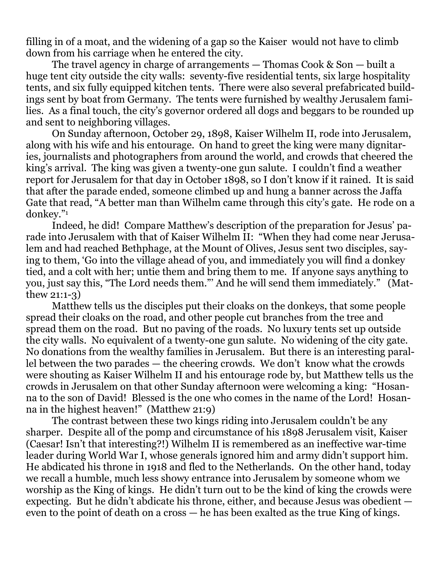filling in of a moat, and the widening of a gap so the Kaiser would not have to climb down from his carriage when he entered the city.

The travel agency in charge of arrangements — Thomas Cook & Son — built a huge tent city outside the city walls: seventy-five residential tents, six large hospitality tents, and six fully equipped kitchen tents. There were also several prefabricated buildings sent by boat from Germany. The tents were furnished by wealthy Jerusalem families. As a final touch, the city's governor ordered all dogs and beggars to be rounded up and sent to neighboring villages.

On Sunday afternoon, October 29, 1898, Kaiser Wilhelm II, rode into Jerusalem, along with his wife and his entourage. On hand to greet the king were many dignitaries, journalists and photographers from around the world, and crowds that cheered the king's arrival. The king was given a twenty-one gun salute. I couldn't find a weather report for Jerusalem for that day in October 1898, so I don't know if it rained. It is said that after the parade ended, someone climbed up and hung a banner across the Jaffa Gate that read, "A better man than Wilhelm came through this city's gate. He rode on a donkey."<sup>1</sup>

Indeed, he did! Compare Matthew's description of the preparation for Jesus' parade into Jerusalem with that of Kaiser Wilhelm II: "When they had come near Jerusalem and had reached Bethphage, at the Mount of Olives, Jesus sent two disciples, saying to them, 'Go into the village ahead of you, and immediately you will find a donkey tied, and a colt with her; untie them and bring them to me. If anyone says anything to you, just say this, "The Lord needs them."' And he will send them immediately." (Matthew 21:1-3)

Matthew tells us the disciples put their cloaks on the donkeys, that some people spread their cloaks on the road, and other people cut branches from the tree and spread them on the road. But no paving of the roads. No luxury tents set up outside the city walls. No equivalent of a twenty-one gun salute. No widening of the city gate. No donations from the wealthy families in Jerusalem. But there is an interesting parallel between the two parades — the cheering crowds. We don't know what the crowds were shouting as Kaiser Wilhelm II and his entourage rode by, but Matthew tells us the crowds in Jerusalem on that other Sunday afternoon were welcoming a king: "Hosanna to the son of David! Blessed is the one who comes in the name of the Lord! Hosanna in the highest heaven!" (Matthew 21:9)

The contrast between these two kings riding into Jerusalem couldn't be any sharper. Despite all of the pomp and circumstance of his 1898 Jerusalem visit, Kaiser (Caesar! Isn't that interesting?!) Wilhelm II is remembered as an ineffective war-time leader during World War I, whose generals ignored him and army didn't support him. He abdicated his throne in 1918 and fled to the Netherlands. On the other hand, today we recall a humble, much less showy entrance into Jerusalem by someone whom we worship as the King of kings. He didn't turn out to be the kind of king the crowds were expecting. But he didn't abdicate his throne, either, and because Jesus was obedient even to the point of death on a cross — he has been exalted as the true King of kings.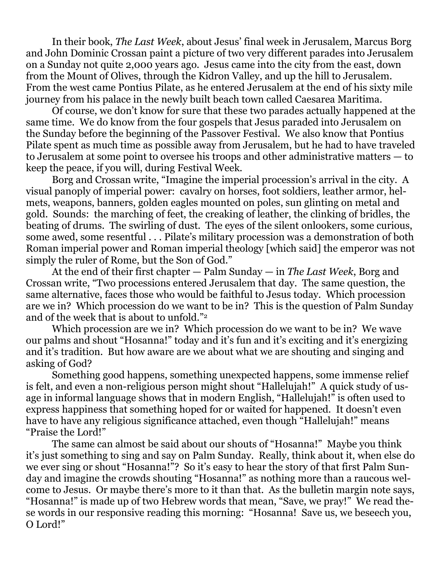In their book, *The Last Week*, about Jesus' final week in Jerusalem, Marcus Borg and John Dominic Crossan paint a picture of two very different parades into Jerusalem on a Sunday not quite 2,000 years ago. Jesus came into the city from the east, down from the Mount of Olives, through the Kidron Valley, and up the hill to Jerusalem. From the west came Pontius Pilate, as he entered Jerusalem at the end of his sixty mile journey from his palace in the newly built beach town called Caesarea Maritima.

Of course, we don't know for sure that these two parades actually happened at the same time. We do know from the four gospels that Jesus paraded into Jerusalem on the Sunday before the beginning of the Passover Festival. We also know that Pontius Pilate spent as much time as possible away from Jerusalem, but he had to have traveled to Jerusalem at some point to oversee his troops and other administrative matters — to keep the peace, if you will, during Festival Week.

Borg and Crossan write, "Imagine the imperial procession's arrival in the city. A visual panoply of imperial power: cavalry on horses, foot soldiers, leather armor, helmets, weapons, banners, golden eagles mounted on poles, sun glinting on metal and gold. Sounds: the marching of feet, the creaking of leather, the clinking of bridles, the beating of drums. The swirling of dust. The eyes of the silent onlookers, some curious, some awed, some resentful . . . Pilate's military procession was a demonstration of both Roman imperial power and Roman imperial theology [which said] the emperor was not simply the ruler of Rome, but the Son of God."

At the end of their first chapter — Palm Sunday — in *The Last Week*, Borg and Crossan write, "Two processions entered Jerusalem that day. The same question, the same alternative, faces those who would be faithful to Jesus today. Which procession are we in? Which procession do we want to be in? This is the question of Palm Sunday and of the week that is about to unfold."<sup>2</sup>

Which procession are we in? Which procession do we want to be in? We wave our palms and shout "Hosanna!" today and it's fun and it's exciting and it's energizing and it's tradition. But how aware are we about what we are shouting and singing and asking of God?

Something good happens, something unexpected happens, some immense relief is felt, and even a non-religious person might shout "Hallelujah!" A quick study of usage in informal language shows that in modern English, "Hallelujah!" is often used to express happiness that something hoped for or waited for happened. It doesn't even have to have any religious significance attached, even though "Hallelujah!" means "Praise the Lord!"

The same can almost be said about our shouts of "Hosanna!" Maybe you think it's just something to sing and say on Palm Sunday. Really, think about it, when else do we ever sing or shout "Hosanna!"? So it's easy to hear the story of that first Palm Sunday and imagine the crowds shouting "Hosanna!" as nothing more than a raucous welcome to Jesus. Or maybe there's more to it than that. As the bulletin margin note says, "Hosanna!" is made up of two Hebrew words that mean, "Save, we pray!" We read these words in our responsive reading this morning: "Hosanna! Save us, we beseech you, O Lord!"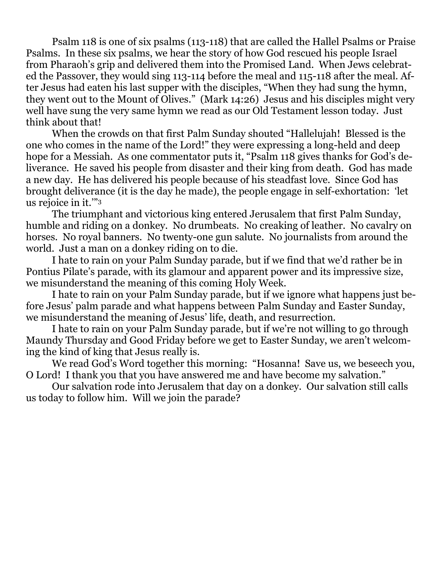Psalm 118 is one of six psalms (113-118) that are called the Hallel Psalms or Praise Psalms. In these six psalms, we hear the story of how God rescued his people Israel from Pharaoh's grip and delivered them into the Promised Land. When Jews celebrated the Passover, they would sing 113-114 before the meal and 115-118 after the meal. After Jesus had eaten his last supper with the disciples, "When they had sung the hymn, they went out to the Mount of Olives." (Mark 14:26) Jesus and his disciples might very well have sung the very same hymn we read as our Old Testament lesson today. Just think about that!

When the crowds on that first Palm Sunday shouted "Hallelujah! Blessed is the one who comes in the name of the Lord!" they were expressing a long-held and deep hope for a Messiah. As one commentator puts it, "Psalm 118 gives thanks for God's deliverance. He saved his people from disaster and their king from death. God has made a new day. He has delivered his people because of his steadfast love. Since God has brought deliverance (it is the day he made), the people engage in self-exhortation: 'let us rejoice in it.'"<sup>3</sup>

The triumphant and victorious king entered Jerusalem that first Palm Sunday, humble and riding on a donkey. No drumbeats. No creaking of leather. No cavalry on horses. No royal banners. No twenty-one gun salute. No journalists from around the world. Just a man on a donkey riding on to die.

I hate to rain on your Palm Sunday parade, but if we find that we'd rather be in Pontius Pilate's parade, with its glamour and apparent power and its impressive size, we misunderstand the meaning of this coming Holy Week.

I hate to rain on your Palm Sunday parade, but if we ignore what happens just before Jesus' palm parade and what happens between Palm Sunday and Easter Sunday, we misunderstand the meaning of Jesus' life, death, and resurrection.

I hate to rain on your Palm Sunday parade, but if we're not willing to go through Maundy Thursday and Good Friday before we get to Easter Sunday, we aren't welcoming the kind of king that Jesus really is.

We read God's Word together this morning: "Hosanna! Save us, we beseech you, O Lord! I thank you that you have answered me and have become my salvation."

Our salvation rode into Jerusalem that day on a donkey. Our salvation still calls us today to follow him. Will we join the parade?